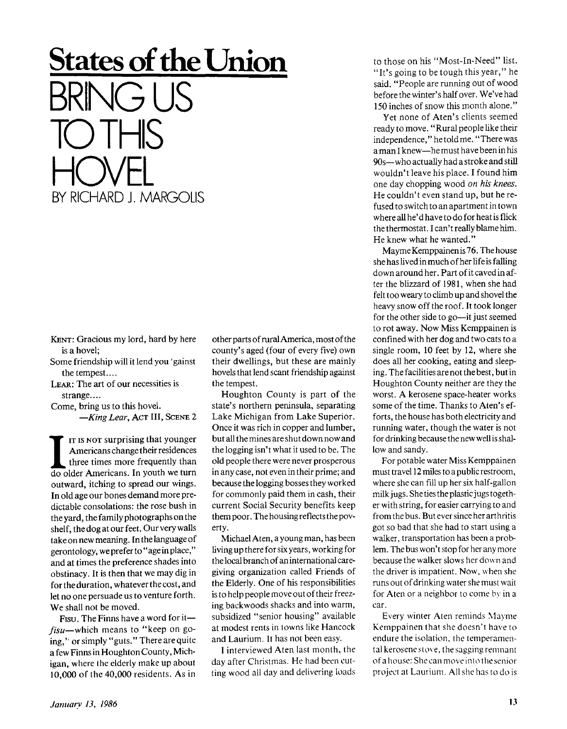## **States of the Union**   $\Box$ TO THIS HOVEL BY RICHARD J. MARGOLIS

**KENT: Gracious my lord, hard by here is a hovel;** 

- **Some friendship will it lend you 'gainst the tempest....**
- **LEAR: The art of our necessities is strange....**
- **Come, bring us to this hovel.** 
	- *—King Lear,* **ACT III, SCENE 2**

II IS NOT surprising that younger<br>
Americans.change their residences<br>
three times more frequently than<br>
do older Americans. In youth we turn **IT is NOT surprising that younger Americans change their residences three times more frequently than outward, itching to spread our wings. In old age our bones demand more predictable consolations: the rose bush in the yard, the family photographs on the shelf, the dog at our feet. Our very walls take on new meaning. In the language of gerontology, we prefer to "age in place," and at times the preference shades into obstinacy. It is then that we may dig in for the duration, whatever the cost, and let no one persuade us to venture forth. We shall not be moved.** 

**Fisu. The Finns have a word for it**  *fisu***—which means to "keep on going,'' or simply "guts." There are quite a few Finns in Houghton County, Michigan, where the elderly make up about 10,000 of the 40,000 residents. As in**  **other parts of rural America, most of the county's aged (four of every five) own their dwellings, but these are mainly hovels that lend scant friendship against the tempest.** 

**Houghton County is part of the state's northern peninsula, separating Lake Michigan from Lake Superior. Once it was rich in copper and lumber, but all the mines are shut down now and the logging isn't what it used to be. The old people there were never prosperous in any case, not even in their prime; and because the logging bosses they worked for commonly paid them in cash, their current Social Security benefits keep them poor. The housing reflects the poverty.** 

**Michael Aten, a young man, has been living up there for six years, working for the local branch of an international caregiving organization called Friends of the Elderly. One of his responsibilities is to help people move out of their freezing backwoods shacks and into warm, subsidized "senior housing" available at modest rents in towns like Hancock and Laurium. It has not been easy.** 

**I interviewed Aten last month, the day after Christmas. He had been cutting wood all day and delivering loads**  **to those on his "Most-In-Need" list. "It's going to be tough this year," he said. "People are running out of wood before the winter's half over. We've had 150 inches of snow this month alone."** 

**Yet none of Aten's clients seemed ready to move. "Rural people like their independence," he told me. "There was a man I knew—he must have been in his 90s—who actually had a stroke and still wouldn't leave his place. I found him one day chopping wood** *on his knees.*  **He couldn't even stand up, but he refused to switch to an apartment in town where all he'd have to do for heat is flick the thermostat. I can't really blame him. He knew what he wanted."** 

**Mayme Kemppainen is 76. The house she has lived in much of her life is falling down around her. Part of it caved in after the blizzard of 1981, when she had felt too weary to climb up and shovel the heavy snow off the roof. It took longer for the other side to go—it just seemed to rot away. Now Miss Kemppainen is confined with her dog and two cats to a single room, 10 feet by 12, where she does all her cooking, eating and sleep**ing. The facilities are not the best, but in **Houghton County neither are they the worst. A kerosene space-heater works some of the time. Thanks to Aten's efforts, the house has both electricity and running water, though the water is not for drinking because the new well is shallow and sandy.** 

**For potable water Miss Kemppainen must travel 12 miles to a public restroom, where she can fill up her six half-gallon milk jugs. She ties the plastic jugs together with string, for easier carrying to and from the bus. But ever since her arthritis got so bad that she had to start using a walker, transportation has been a problem. The bus won't stop for her any more because the walker slows her down and the driver is impatient. Now, when she runs out of drinking water she must wait for Aten or a neighbor to come by in a car.** 

Every winter Aten reminds Mayme Kemppainen that she doesn't have to endure the isolation, the temperamental kerosene stove, the sagging remnant of a house: She can move into the senior project at Laurium. All she has to do is